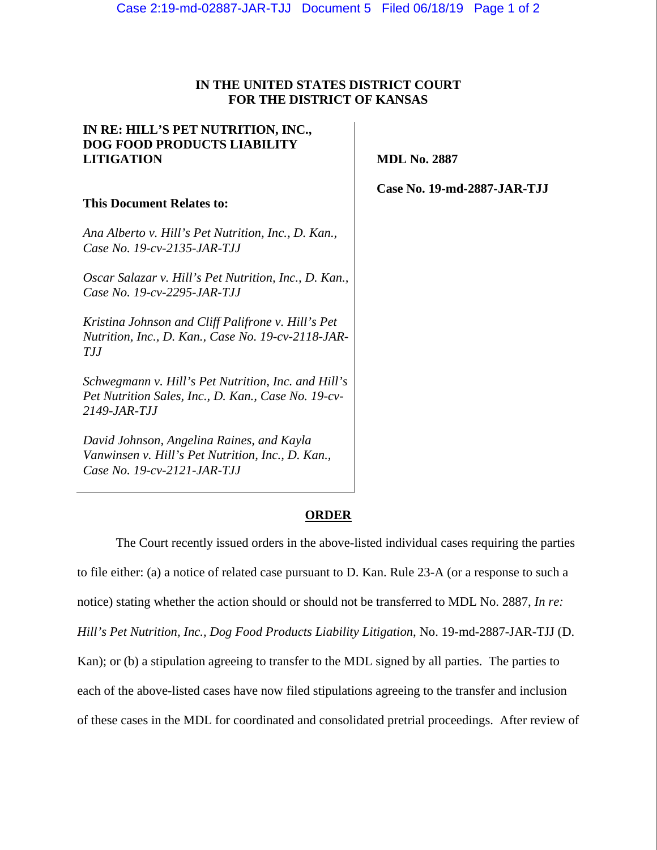## **IN THE UNITED STATES DISTRICT COURT FOR THE DISTRICT OF KANSAS**

| IN RE: HILL'S PET NUTRITION, INC.,<br><b>DOG FOOD PRODUCTS LIABILITY</b><br><b>LITIGATION</b>                              | <b>MDL No. 2887</b>         |
|----------------------------------------------------------------------------------------------------------------------------|-----------------------------|
| <b>This Document Relates to:</b>                                                                                           | Case No. 19-md-2887-JAR-TJJ |
| Ana Alberto v. Hill's Pet Nutrition, Inc., D. Kan.,<br>Case No. 19-cv-2135-JAR-TJJ                                         |                             |
| Oscar Salazar v. Hill's Pet Nutrition, Inc., D. Kan.,<br>Case No. 19-cv-2295-JAR-TJJ                                       |                             |
| Kristina Johnson and Cliff Palifrone v. Hill's Pet<br>Nutrition, Inc., D. Kan., Case No. 19-cv-2118-JAR-<br>TIJ            |                             |
| Schwegmann v. Hill's Pet Nutrition, Inc. and Hill's<br>Pet Nutrition Sales, Inc., D. Kan., Case No. 19-cv-<br>2149-JAR-TJJ |                             |
| David Johnson, Angelina Raines, and Kayla<br>Vanwinsen v. Hill's Pet Nutrition, Inc., D. Kan.,                             |                             |

*Case No. 19-cv-2121-JAR-TJJ* 

### **ORDER**

The Court recently issued orders in the above-listed individual cases requiring the parties to file either: (a) a notice of related case pursuant to D. Kan. Rule 23-A (or a response to such a notice) stating whether the action should or should not be transferred to MDL No. 2887, *In re: Hill's Pet Nutrition, Inc., Dog Food Products Liability Litigation*, No. 19-md-2887-JAR-TJJ (D. Kan); or (b) a stipulation agreeing to transfer to the MDL signed by all parties. The parties to each of the above-listed cases have now filed stipulations agreeing to the transfer and inclusion of these cases in the MDL for coordinated and consolidated pretrial proceedings. After review of